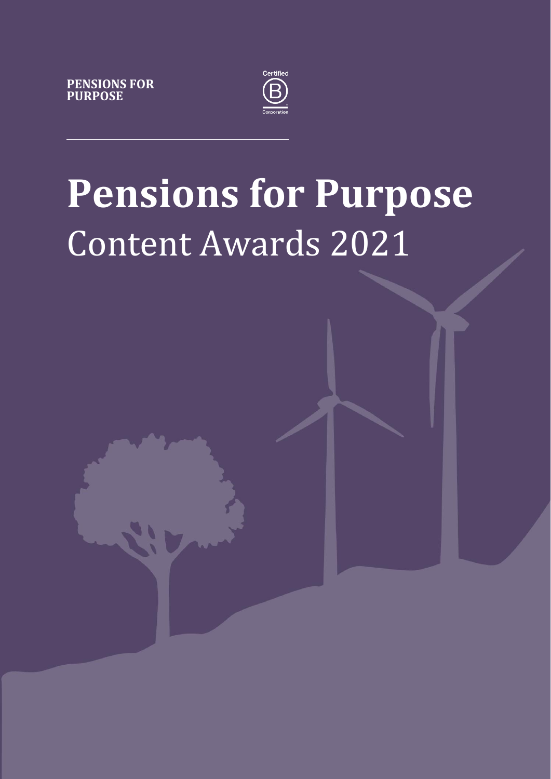



# **Pensions for Purpose** Content Awards 2021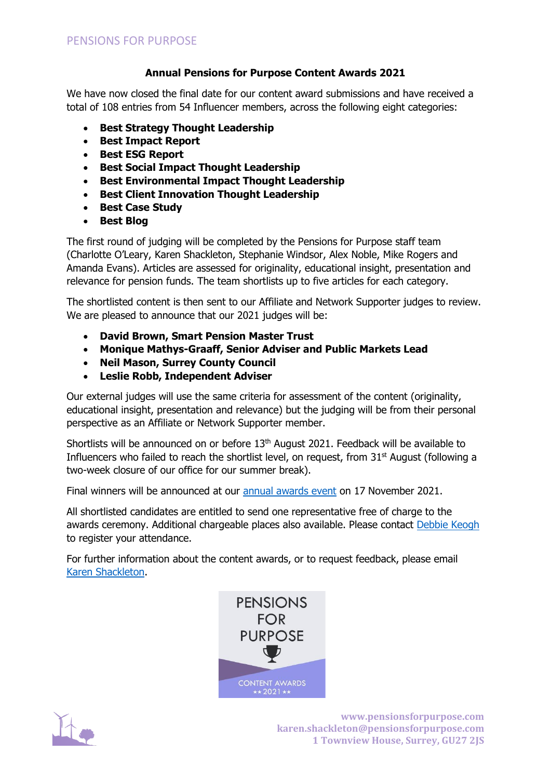# **Annual Pensions for Purpose Content Awards 2021**

We have now closed the final date for our content award submissions and have received a total of 108 entries from 54 Influencer members, across the following eight categories:

- **Best Strategy Thought Leadership**
- **Best Impact Report**
- **Best ESG Report**
- **Best Social Impact Thought Leadership**
- **Best Environmental Impact Thought Leadership**
- **Best Client Innovation Thought Leadership**
- **Best Case Study**
- **Best Blog**

The first round of judging will be completed by the Pensions for Purpose staff team (Charlotte O'Leary, Karen Shackleton, Stephanie Windsor, Alex Noble, Mike Rogers and Amanda Evans). Articles are assessed for originality, educational insight, presentation and relevance for pension funds. The team shortlists up to five articles for each category.

The shortlisted content is then sent to our Affiliate and Network Supporter judges to review. We are pleased to announce that our 2021 judges will be:

- **David Brown, Smart Pension Master Trust**
- **Monique Mathys-Graaff, Senior Adviser and Public Markets Lead**
- **Neil Mason, Surrey County Council**
- **Leslie Robb, Independent Adviser**

Our external judges will use the same criteria for assessment of the content (originality, educational insight, presentation and relevance) but the judging will be from their personal perspective as an Affiliate or Network Supporter member.

Shortlists will be announced on or before 13<sup>th</sup> August 2021. Feedback will be available to Influencers who failed to reach the shortlist level, on request, from 31<sup>st</sup> August (following a two-week closure of our office for our summer break).

Final winners will be announced at our [annual awards event](https://www.pensionsforpurpose.com/knowledge-centre/events/2021/05/04/17-November-2021-The-Annual-Pensions-for-Purpose-Awards/) on 17 November 2021.

All shortlisted candidates are entitled to send one representative free of charge to the awards ceremony. Additional chargeable places also available. Please contact [Debbie Keogh](mailto:%20debbie@drkevents.com) to register your attendance.

For further information about the content awards, or to request feedback, please email [Karen Shackleton.](mailto:karen.shackleton@pensionsforpurpose.com)





**www.pensionsforpurpose.com karen.shackleton@pensionsforpurpose.com 1 Townview House, Surrey, GU27 2JS**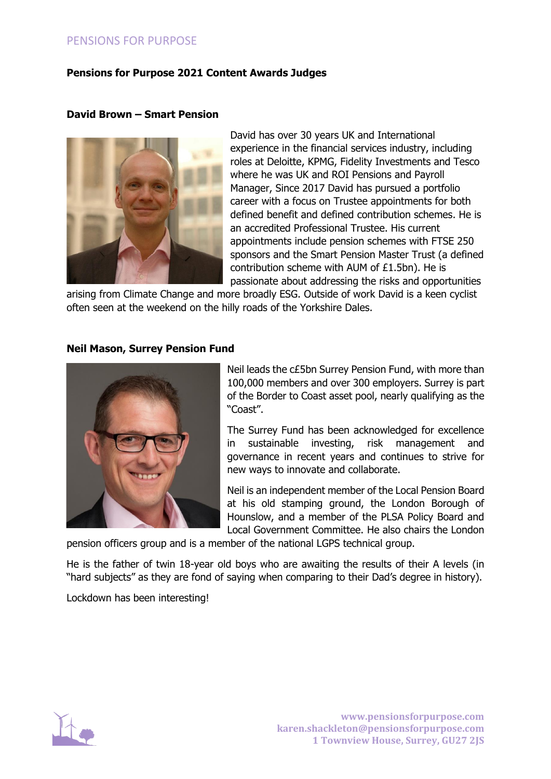# PENSIONS FOR PURPOSE

## **Pensions for Purpose 2021 Content Awards Judges**

#### **David Brown – Smart Pension**



David has over 30 years UK and International experience in the financial services industry, including roles at Deloitte, KPMG, Fidelity Investments and Tesco where he was UK and ROI Pensions and Payroll Manager, Since 2017 David has pursued a portfolio career with a focus on Trustee appointments for both defined benefit and defined contribution schemes. He is an accredited Professional Trustee. His current appointments include pension schemes with FTSE 250 sponsors and the Smart Pension Master Trust (a defined contribution scheme with AUM of £1.5bn). He is passionate about addressing the risks and opportunities

arising from Climate Change and more broadly ESG. Outside of work David is a keen cyclist often seen at the weekend on the hilly roads of the Yorkshire Dales.

#### **Neil Mason, Surrey Pension Fund**



Neil leads the c£5bn Surrey Pension Fund, with more than 100,000 members and over 300 employers. Surrey is part of the Border to Coast asset pool, nearly qualifying as the "Coast".

The Surrey Fund has been acknowledged for excellence in sustainable investing, risk management and governance in recent years and continues to strive for new ways to innovate and collaborate.

Neil is an independent member of the Local Pension Board at his old stamping ground, the London Borough of Hounslow, and a member of the PLSA Policy Board and Local Government Committee. He also chairs the London

pension officers group and is a member of the national LGPS technical group.

He is the father of twin 18-year old boys who are awaiting the results of their A levels (in "hard subjects" as they are fond of saying when comparing to their Dad's degree in history).

Lockdown has been interesting!

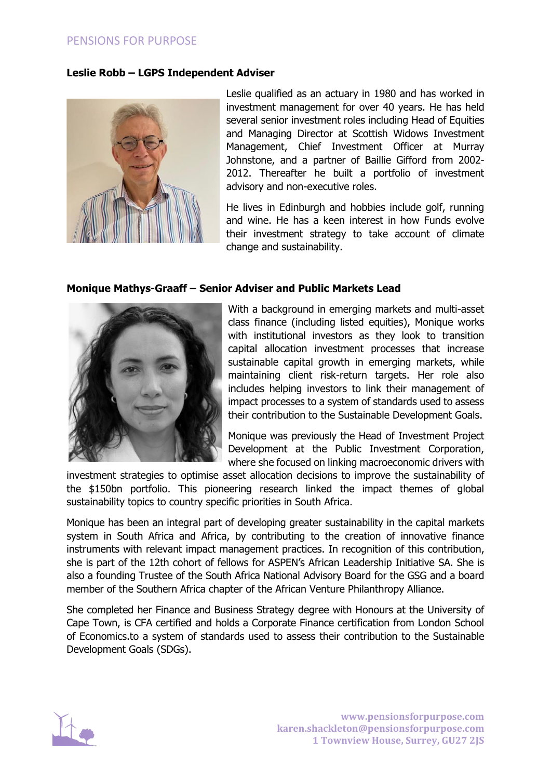## **Leslie Robb – LGPS Independent Adviser**



Leslie qualified as an actuary in 1980 and has worked in investment management for over 40 years. He has held several senior investment roles including Head of Equities and Managing Director at Scottish Widows Investment Management, Chief Investment Officer at Murray Johnstone, and a partner of Baillie Gifford from 2002- 2012. Thereafter he built a portfolio of investment advisory and non-executive roles.

He lives in Edinburgh and hobbies include golf, running and wine. He has a keen interest in how Funds evolve their investment strategy to take account of climate change and sustainability.

## **Monique Mathys-Graaff – Senior Adviser and Public Markets Lead**



With a background in emerging markets and multi-asset class finance (including listed equities), Monique works with institutional investors as they look to transition capital allocation investment processes that increase sustainable capital growth in emerging markets, while maintaining client risk-return targets. Her role also includes helping investors to link their management of impact processes to a system of standards used to assess their contribution to the Sustainable Development Goals.

Monique was previously the Head of Investment Project Development at the Public Investment Corporation, where she focused on linking macroeconomic drivers with

investment strategies to optimise asset allocation decisions to improve the sustainability of the \$150bn portfolio. This pioneering research linked the impact themes of global sustainability topics to country specific priorities in South Africa.

Monique has been an integral part of developing greater sustainability in the capital markets system in South Africa and Africa, by contributing to the creation of innovative finance instruments with relevant impact management practices. In recognition of this contribution, she is part of the 12th cohort of fellows for ASPEN's African Leadership Initiative SA. She is also a founding Trustee of the South Africa National Advisory Board for the GSG and a board member of the Southern Africa chapter of the African Venture Philanthropy Alliance.

She completed her Finance and Business Strategy degree with Honours at the University of Cape Town, is CFA certified and holds a Corporate Finance certification from London School of Economics.to a system of standards used to assess their contribution to the Sustainable Development Goals (SDGs).